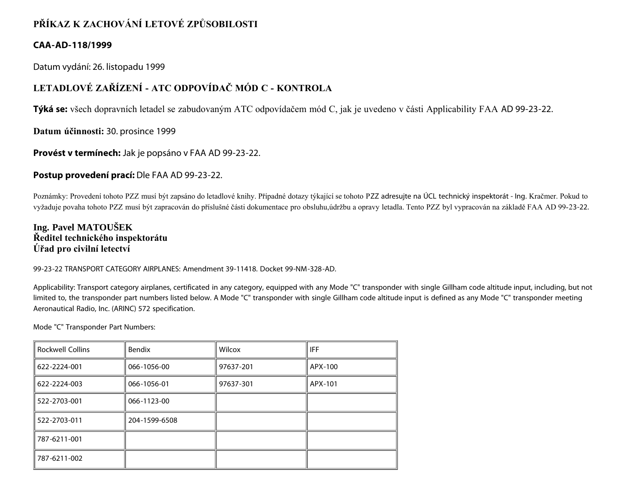# **PŘÍKAZ K ZACHOVÁNÍ LETOVÉ ZPŮSOBILOSTI**

## **CAA-AD-118/1999**

Datum vydání: 26. listopadu 1999

# **LETADLOVÉ ZAŘÍZENÍ - ATC ODPOVÍDAČ MÓD C - KONTROLA**

**Týká se:** všech dopravních letadel se zabudovaným ATC odpovídačem mód C, jak je uvedeno v části Applicability FAA AD 99-23-22.

**Datum účinnosti:** 30. prosince 1999

**Provést v termínech:** Jak je popsáno v FAA AD 99-23-22.

## **Postup provedení prací:** Dle FAA AD 99-23-22.

Poznámky: Provedení tohoto PZZ musí být zapsáno do letadlové knihy. Případné dotazy týkající se tohoto PZZ adresujte na ÚCL technický inspektorát - Ing. Kračmer. Pokud to vyžaduje povaha tohoto PZZ musí být zapracován do příslušné části dokumentace pro obsluhu,údržbu a opravy letadla. Tento PZZ byl vypracován na základě FAA AD 99-23-22.

## **Ing. Pavel MATOUŠEK Ředitel technického inspektorátu Úřad pro civilní letectví**

99-23-22 TRANSPORT CATEGORY AIRPLANES: Amendment 39-11418. Docket 99-NM-328-AD.

Applicability: Transport category airplanes, certificated in any category, equipped with any Mode "C" transponder with single Gillham code altitude input, including, but not limited to, the transponder part numbers listed below. A Mode "C" transponder with single Gillham code altitude input is defined as any Mode "C" transponder meeting Aeronautical Radio, Inc. (ARINC) 572 specification.

Mode "C" Transponder Part Numbers:

| <b>Rockwell Collins</b> | <b>Bendix</b> | Wilcox    | IFF     |
|-------------------------|---------------|-----------|---------|
| 622-2224-001            | 066-1056-00   | 97637-201 | APX-100 |
| 622-2224-003            | 066-1056-01   | 97637-301 | APX-101 |
| 522-2703-001            | 066-1123-00   |           |         |
| 522-2703-011            | 204-1599-6508 |           |         |
| 787-6211-001            |               |           |         |
| 787-6211-002            |               |           |         |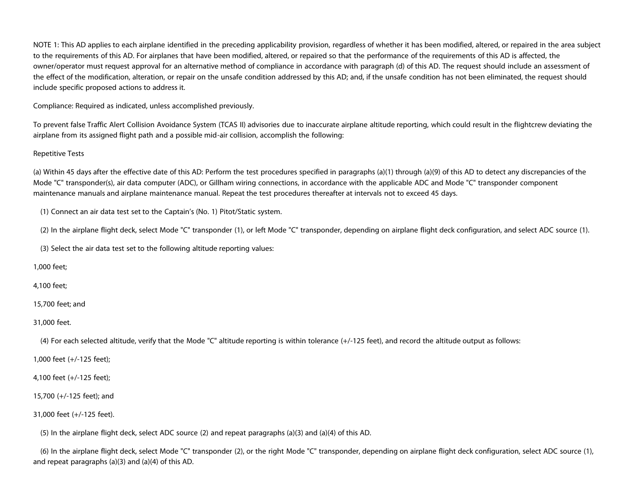NOTE 1: This AD applies to each airplane identified in the preceding applicability provision, regardless of whether it has been modified, altered, or repaired in the area subject to the requirements of this AD. For airplanes that have been modified, altered, or repaired so that the performance of the requirements of this AD is affected, the owner/operator must request approval for an alternative method of compliance in accordance with paragraph (d) of this AD. The request should include an assessment of the effect of the modification, alteration, or repair on the unsafe condition addressed by this AD; and, if the unsafe condition has not been eliminated, the request should include specific proposed actions to address it.

Compliance: Required as indicated, unless accomplished previously.

To prevent false Traffic Alert Collision Avoidance System (TCAS II) advisories due to inaccurate airplane altitude reporting, which could result in the flightcrew deviating the airplane from its assigned flight path and a possible mid-air collision, accomplish the following:

### Repetitive Tests

(a) Within 45 days after the effective date of this AD: Perform the test procedures specified in paragraphs (a)(1) through (a)(9) of this AD to detect any discrepancies of the Mode "C" transponder(s), air data computer (ADC), or Gillham wiring connections, in accordance with the applicable ADC and Mode "C" transponder component maintenance manuals and airplane maintenance manual. Repeat the test procedures thereafter at intervals not to exceed 45 days.

(1) Connect an air data test set to the Captain's (No. 1) Pitot/Static system.

(2) In the airplane flight deck, select Mode "C" transponder (1), or left Mode "C" transponder, depending on airplane flight deck configuration, and select ADC source (1).

(3) Select the air data test set to the following altitude reporting values:

1,000 feet;

4,100 feet;

15,700 feet; and

31,000 feet.

(4) For each selected altitude, verify that the Mode "C" altitude reporting is within tolerance (+/-125 feet), and record the altitude output as follows:

1,000 feet (+/-125 feet);

4,100 feet (+/-125 feet);

15,700 (+/-125 feet); and

31,000 feet (+/-125 feet).

(5) In the airplane flight deck, select ADC source (2) and repeat paragraphs (a)(3) and (a)(4) of this AD.

 (6) In the airplane flight deck, select Mode "C" transponder (2), or the right Mode "C" transponder, depending on airplane flight deck configuration, select ADC source (1), and repeat paragraphs (a)(3) and (a)(4) of this AD.